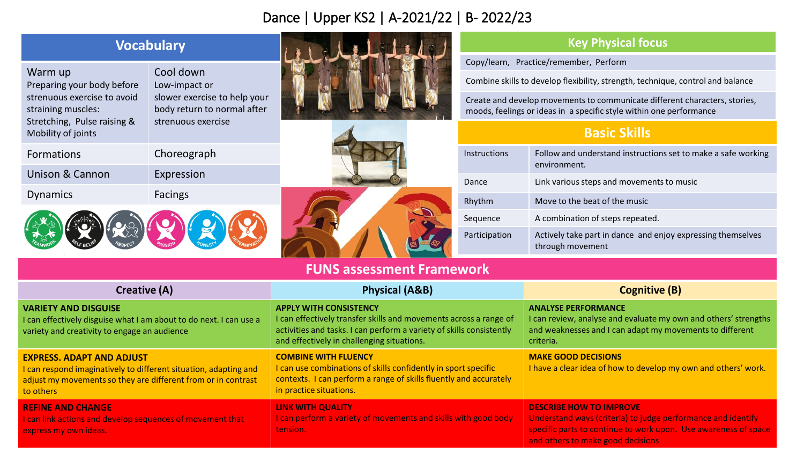## Dance | Upper KS2 | A-2021/22 | B- 2022/23

| <b>Vocabulary</b>                                                                                                                                                                  |                                                                                                                 |                                                                                                                                                                                                                          | <b>Key Physical focus</b>                                                                                                                         |                                                                                                                                                                        |
|------------------------------------------------------------------------------------------------------------------------------------------------------------------------------------|-----------------------------------------------------------------------------------------------------------------|--------------------------------------------------------------------------------------------------------------------------------------------------------------------------------------------------------------------------|---------------------------------------------------------------------------------------------------------------------------------------------------|------------------------------------------------------------------------------------------------------------------------------------------------------------------------|
|                                                                                                                                                                                    |                                                                                                                 |                                                                                                                                                                                                                          | Copy/learn, Practice/remember, Perform                                                                                                            |                                                                                                                                                                        |
| Warm up<br>Preparing your body before                                                                                                                                              | Cool down<br>Low-impact or<br>slower exercise to help your<br>body return to normal after<br>strenuous exercise |                                                                                                                                                                                                                          | Combine skills to develop flexibility, strength, technique, control and balance                                                                   |                                                                                                                                                                        |
| strenuous exercise to avoid<br>straining muscles:                                                                                                                                  |                                                                                                                 |                                                                                                                                                                                                                          | Create and develop movements to communicate different characters, stories,<br>moods, feelings or ideas in a specific style within one performance |                                                                                                                                                                        |
| Stretching, Pulse raising &<br>Mobility of joints                                                                                                                                  |                                                                                                                 |                                                                                                                                                                                                                          | <b>Basic Skills</b>                                                                                                                               |                                                                                                                                                                        |
| Formations                                                                                                                                                                         | Choreograph                                                                                                     |                                                                                                                                                                                                                          | Instructions                                                                                                                                      | Follow and understand instructions set to make a safe working<br>environment.                                                                                          |
| <b>Unison &amp; Cannon</b>                                                                                                                                                         | Expression                                                                                                      |                                                                                                                                                                                                                          | Dance                                                                                                                                             | Link various steps and movements to music                                                                                                                              |
| <b>Dynamics</b>                                                                                                                                                                    | <b>Facings</b>                                                                                                  |                                                                                                                                                                                                                          | Rhythm                                                                                                                                            | Move to the beat of the music                                                                                                                                          |
|                                                                                                                                                                                    |                                                                                                                 |                                                                                                                                                                                                                          | Sequence                                                                                                                                          | A combination of steps repeated.                                                                                                                                       |
|                                                                                                                                                                                    |                                                                                                                 |                                                                                                                                                                                                                          | Participation                                                                                                                                     | Actively take part in dance and enjoy expressing themselves<br>through movement                                                                                        |
|                                                                                                                                                                                    |                                                                                                                 | <b>FUNS assessment Framework</b>                                                                                                                                                                                         |                                                                                                                                                   |                                                                                                                                                                        |
| <b>Creative (A)</b>                                                                                                                                                                |                                                                                                                 | <b>Physical (A&amp;B)</b>                                                                                                                                                                                                |                                                                                                                                                   | <b>Cognitive (B)</b>                                                                                                                                                   |
| <b>VARIETY AND DISGUISE</b><br>I can effectively disguise what I am about to do next. I can use a<br>variety and creativity to engage an audience                                  |                                                                                                                 | <b>APPLY WITH CONSISTENCY</b><br>I can effectively transfer skills and movements across a range of<br>activities and tasks. I can perform a variety of skills consistently<br>and effectively in challenging situations. |                                                                                                                                                   | <b>ANALYSE PERFORMANCE</b><br>I can review, analyse and evaluate my own and others' strengths<br>and weaknesses and I can adapt my movements to different<br>criteria. |
| <b>EXPRESS. ADAPT AND ADJUST</b><br>I can respond imaginatively to different situation, adapting and<br>adjust my movements so they are different from or in contrast<br>to others |                                                                                                                 | <b>COMBINE WITH FLUENCY</b><br>I can use combinations of skills confidently in sport specific<br>contexts. I can perform a range of skills fluently and accurately<br>in practice situations.                            |                                                                                                                                                   | <b>MAKE GOOD DECISIONS</b><br>I have a clear idea of how to develop my own and others' work.                                                                           |
| <b>REFINE AND CHANGE</b><br>I can link actions and develop sequences of movement that<br>express my own ideas.                                                                     |                                                                                                                 | <b>LINK WITH QUALITY</b><br>I can perform a variety of movements and skills with good body<br>tension.                                                                                                                   |                                                                                                                                                   | <b>DESCRIBE HOW TO IMPROVE</b><br>Understand ways (criteria) to judge performance and identify<br>specific parts to continue to work upon. Use awareness of space      |

and others to make good decisions